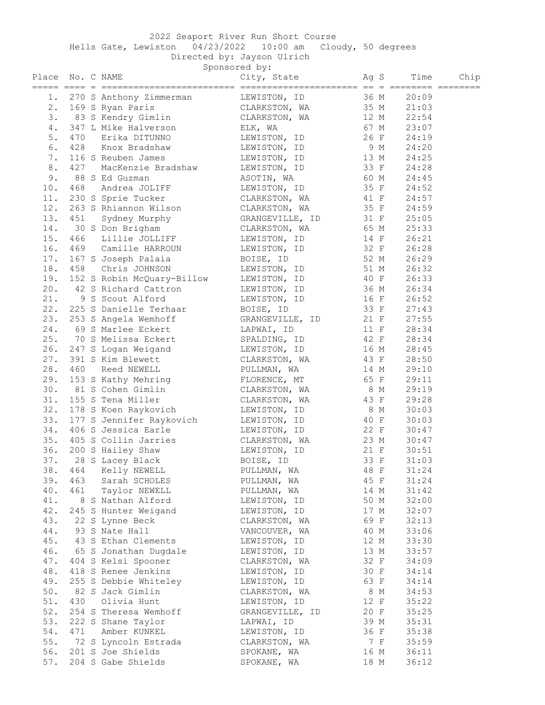## 2022 Seaport River Run Short Course

Hells Gate, Lewiston 04/23/2022 10:00 am Cloudy, 50 degrees

Directed by: Jayson Ulrich

|        |     |                                                                                                                                                                                                                                                        | $D = L \cup C \cup C \cup N$ , $O \cup C \cup C \cup C \cup C$<br>Sponsored by: |      |     |            |      |
|--------|-----|--------------------------------------------------------------------------------------------------------------------------------------------------------------------------------------------------------------------------------------------------------|---------------------------------------------------------------------------------|------|-----|------------|------|
| Place  |     | No. C NAME                                                                                                                                                                                                                                             | City, State Mag S                                                               |      |     | Time       | Chip |
|        |     | 1. 270 S Anthony Zimmerman LEWISTON, ID 36 M                                                                                                                                                                                                           |                                                                                 |      |     | 20:09      |      |
|        |     |                                                                                                                                                                                                                                                        |                                                                                 |      |     |            |      |
|        |     | 2. 169 S Ryan Paris<br>3. 83 S Kendry Gimlin CLARKSTON, WA 35 M 21:03<br>4. 347 L Mike Halverson ELK, WA 67 M 23:07<br>5. 470 Erika DITUNNO LEWISTON, ID 26 F 24:19                                                                                    |                                                                                 |      |     |            |      |
|        |     |                                                                                                                                                                                                                                                        |                                                                                 |      |     |            |      |
|        |     | 470 Erika DITUNNO                                                                                                                                                                                                                                      |                                                                                 |      |     |            |      |
| 6.     |     | 428 Knox Bradshaw LEWISTON, ID 9 M 24:20                                                                                                                                                                                                               |                                                                                 |      |     |            |      |
| 7.     |     | 116 S Reuben James Chambridge LEWISTON, ID 13 M 24:25                                                                                                                                                                                                  |                                                                                 |      |     |            |      |
| 8.     | 427 | MacKenzie Bradshaw LEWISTON, ID 33 F 24:28                                                                                                                                                                                                             |                                                                                 |      |     |            |      |
| 9.     |     | 88 S Ed Guzman                                                                                                                                                                                                                                         |                                                                                 |      |     |            |      |
| 10.    | 468 |                                                                                                                                                                                                                                                        | ASOTIN, WA 60 M 24:45                                                           |      |     |            |      |
| 11.    |     | Andrea JOLIFF LEWISTON, ID<br>S Sprie Tucker CLARKSTON, WA 41 F 24:52<br>S Rhiannon Wilson CLARKSTON, WA 35 F 24:59<br>Sydney Murphy GRANGEVILLE, ID 31 F 25:05<br>S Don Brigham<br>230 S Sprie Tucker                                                 |                                                                                 |      |     |            |      |
| 12.    |     | 263 S Rhiannon Wilson                                                                                                                                                                                                                                  |                                                                                 |      |     |            |      |
| 13.    |     |                                                                                                                                                                                                                                                        |                                                                                 |      |     |            |      |
| 14.    |     | 451 Sydney Murphy<br>30 S Don Brigham                                                                                                                                                                                                                  |                                                                                 |      |     |            |      |
|        |     | 466 Lillie JOLLIFF THE LEWISTON, ID 14 F 26:21                                                                                                                                                                                                         |                                                                                 |      |     |            |      |
| 15.    |     |                                                                                                                                                                                                                                                        |                                                                                 |      |     |            |      |
| 16.    |     | 469 Camille HARROUN LEWISTON, ID 32 F 26:28                                                                                                                                                                                                            |                                                                                 |      |     |            |      |
| 17.    |     | 167 S Joseph Palaia (BOISE, ID 52 M 26:29                                                                                                                                                                                                              |                                                                                 |      |     |            |      |
| 18.    |     | 458 Chris JOHNSON LEWISTON, ID 51 M 26:32                                                                                                                                                                                                              |                                                                                 |      |     |            |      |
| 19.    |     |                                                                                                                                                                                                                                                        |                                                                                 |      |     |            |      |
| 20.    |     | 152 S Robin McQuary-Billow<br>42 S Richard Cattron<br>9 S Scout Alford<br>253 S Danielle Terhaar<br>253 S Angela Wemhoff<br>69 S Marlee Eckert<br>16 F 26:52<br>253 S Angela Wemhoff<br>69 S Marlee Eckert<br>26 S Marlee Eckert<br>27:55<br>27:55<br> |                                                                                 |      |     |            |      |
| 21.    |     |                                                                                                                                                                                                                                                        |                                                                                 |      |     |            |      |
| 22.    |     |                                                                                                                                                                                                                                                        |                                                                                 |      |     |            |      |
| 23.    |     |                                                                                                                                                                                                                                                        |                                                                                 |      |     |            |      |
| 24.    |     |                                                                                                                                                                                                                                                        |                                                                                 |      |     |            |      |
| 25.    |     | 70 S Melissa Eckert SPALDING, ID 42 F 28:34                                                                                                                                                                                                            |                                                                                 |      |     |            |      |
| 26.    |     | 247 S Logan Weigand LEWISTON, ID 16 M 28:45                                                                                                                                                                                                            |                                                                                 |      |     |            |      |
| 27.    |     | 391 S Kim Blewett CLARKSTON, WA 43 F 28:50                                                                                                                                                                                                             |                                                                                 |      |     |            |      |
| 28.    |     | Reed NEWELL                                                                                                                                                                                                                                            | PULLMAN, WA                                                                     |      |     |            |      |
| 29.    |     |                                                                                                                                                                                                                                                        |                                                                                 |      |     |            |      |
| 30.    |     | 81 S Cohen Gimlin                                                                                                                                                                                                                                      |                                                                                 |      |     |            |      |
| 31.    |     | 460 Reed NEWELL PULLMAN, WA $14 M$ 29:10<br>153 S Kathy Mehring FLORENCE, MT 65 F 29:11<br>81 S Cohen Gimlin CLARKSTON, WA 8 M 29:19<br>155 S Tena Miller CLARKSTON, WA 43 F 29:28<br>178 S Koen Raykovich LEWISTON, ID 8 M 30:03                      |                                                                                 |      |     |            |      |
| 32.    |     |                                                                                                                                                                                                                                                        |                                                                                 |      |     |            |      |
| 33.    |     | 177 S Jennifer Raykovich LEWISTON, ID 40 F 30:03                                                                                                                                                                                                       |                                                                                 |      |     |            |      |
| 34.    |     | 406 S Jessica Earle Charle LEWISTON, ID 22 F 30:47                                                                                                                                                                                                     |                                                                                 |      |     |            |      |
| 35.    |     | 405 S Collin Jarries CLARKSTON, WA 23 M 30:47                                                                                                                                                                                                          |                                                                                 |      |     |            |      |
| 36.    |     | 200 S Hailey Shaw MEWISTON, ID                                                                                                                                                                                                                         |                                                                                 | 21 F |     | 30:51      |      |
|        |     | 37. 28 S Lacey Black                                                                                                                                                                                                                                   | BOISE, ID                                                                       |      |     | 33 F 31:03 |      |
| 38.    | 464 | Kelly NEWELL                                                                                                                                                                                                                                           | PULLMAN, WA                                                                     | 48 F |     | 31:24      |      |
| 39.    | 463 | Sarah SCHOLES                                                                                                                                                                                                                                          | PULLMAN, WA                                                                     | 45 F |     | 31:24      |      |
| 40.    | 461 | Taylor NEWELL                                                                                                                                                                                                                                          | PULLMAN, WA                                                                     | 14 M |     | 31:42      |      |
| 41.    |     | 8 S Nathan Alford                                                                                                                                                                                                                                      | LEWISTON, ID                                                                    | 50 M |     | 32:00      |      |
| 42.    |     | 245 S Hunter Weigand                                                                                                                                                                                                                                   | LEWISTON, ID                                                                    | 17 M |     | 32:07      |      |
|        |     |                                                                                                                                                                                                                                                        |                                                                                 |      |     |            |      |
| 43.    |     | 22 S Lynne Beck                                                                                                                                                                                                                                        | CLARKSTON, WA                                                                   | 69 F |     | 32:13      |      |
| 44.    |     | 93 S Nate Hall                                                                                                                                                                                                                                         | VANCOUVER, WA                                                                   | 40 M |     | 33:06      |      |
| 45.    |     | 43 S Ethan Clements                                                                                                                                                                                                                                    | LEWISTON, ID                                                                    | 12 M |     | 33:30      |      |
| 46.    |     | 65 S Jonathan Dugdale                                                                                                                                                                                                                                  | LEWISTON, ID                                                                    | 13 M |     | 33:57      |      |
| 47.    |     | 404 S Kelsi Spooner                                                                                                                                                                                                                                    | CLARKSTON, WA                                                                   | 32 F |     | 34:09      |      |
| 48.    |     | 418 S Renee Jenkins                                                                                                                                                                                                                                    | LEWISTON, ID                                                                    | 30 F |     | 34:14      |      |
| 49.    |     | 255 S Debbie Whiteley                                                                                                                                                                                                                                  | LEWISTON, ID                                                                    | 63 F |     | 34:14      |      |
| $50.$  |     | 82 S Jack Gimlin                                                                                                                                                                                                                                       | CLARKSTON, WA                                                                   |      | 8 M | 34:53      |      |
| 51.    | 430 | Olivia Hunt                                                                                                                                                                                                                                            | LEWISTON, ID                                                                    | 12 F |     | 35:22      |      |
| 52.    |     | 254 S Theresa Wemhoff                                                                                                                                                                                                                                  | GRANGEVILLE, ID                                                                 | 20 F |     | 35:25      |      |
| 53.    |     | 222 S Shane Taylor                                                                                                                                                                                                                                     | LAPWAI, ID                                                                      | 39 M |     | 35:31      |      |
| $54$ . | 471 | Amber KUNKEL                                                                                                                                                                                                                                           | LEWISTON, ID                                                                    | 36 F |     | 35:38      |      |
| 55.    |     | 72 S Lyncoln Estrada                                                                                                                                                                                                                                   | CLARKSTON, WA                                                                   |      | 7 F | 35:59      |      |

56. 201 S Joe Shields SPOKANE, WA 16 M 36:11 57. 204 S Gabe Shields SPOKANE, WA 18 M 36:12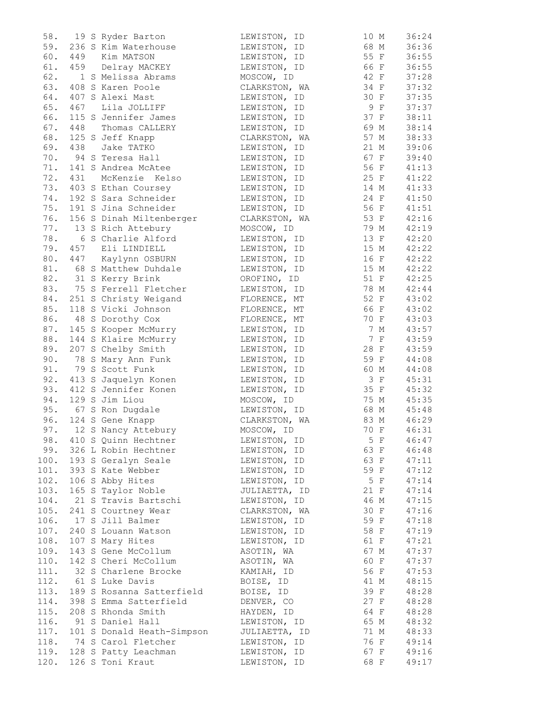| 58.  |     | 19 S Ryder Barton          | LEWISTON, ID  | 10 M | 36:24 |
|------|-----|----------------------------|---------------|------|-------|
| 59.  |     | 236 S Kim Waterhouse       | LEWISTON, ID  | 68 M | 36:36 |
| 60.  |     | 449 Kim MATSON             | LEWISTON, ID  | 55 F | 36:55 |
| 61.  |     | 459 Delray MACKEY          | LEWISTON, ID  | 66 F | 36:55 |
| 62.  |     | 1 S Melissa Abrams         | MOSCOW, ID    | 42 F | 37:28 |
| 63.  |     | 408 S Karen Poole          | CLARKSTON, WA | 34 F | 37:32 |
| 64.  |     | 407 S Alexi Mast           | LEWISTON, ID  | 30 F | 37:35 |
| 65.  | 467 | Lila JOLLIFF               | LEWISTON, ID  | 9 F  | 37:37 |
| 66.  |     | 115 S Jennifer James       | LEWISTON, ID  | 37 F | 38:11 |
| 67.  | 448 | Thomas CALLERY             | LEWISTON, ID  | 69 M | 38:14 |
| 68.  |     | 125 S Jeff Knapp           | CLARKSTON, WA | 57 M | 38:33 |
| 69.  | 438 | Jake TATKO                 | LEWISTON, ID  | 21 M | 39:06 |
| 70.  |     | 94 S Teresa Hall           | LEWISTON, ID  | 67 F | 39:40 |
| 71.  |     | 141 S Andrea McAtee        | LEWISTON, ID  | 56 F | 41:13 |
| 72.  | 431 | McKenzie Kelso             | LEWISTON, ID  | 25 F | 41:22 |
| 73.  |     | 403 S Ethan Coursey        | LEWISTON, ID  | 14 M | 41:33 |
| 74.  |     | 192 S Sara Schneider       | LEWISTON, ID  | 24 F | 41:50 |
| 75.  |     | 191 S Jina Schneider       | LEWISTON, ID  | 56 F | 41:51 |
| 76.  |     | 156 S Dinah Miltenberger   | CLARKSTON, WA | 53 F | 42:16 |
| 77.  |     | 13 S Rich Attebury         | MOSCOW, ID    | 79 M | 42:19 |
| 78.  |     | 6 S Charlie Alford         | LEWISTON, ID  | 13 F | 42:20 |
| 79.  |     | 457 Eli LINDIELL           | LEWISTON, ID  | 15 M | 42:22 |
| 80.  |     | 447 Kaylynn OSBURN         | LEWISTON, ID  | 16 F | 42:22 |
| 81.  |     | 68 S Matthew Duhdale       | LEWISTON, ID  | 15 M | 42:22 |
| 82.  |     | 31 S Kerry Brink           | OROFINO, ID   | 51 F | 42:25 |
| 83.  |     | 75 S Ferrell Fletcher      | LEWISTON, ID  | 78 M | 42:44 |
| 84.  |     | 251 S Christy Weigand      | FLORENCE, MT  | 52 F | 43:02 |
| 85.  |     | 118 S Vicki Johnson        | FLORENCE, MT  | 66 F | 43:02 |
| 86.  |     | 48 S Dorothy Cox           | FLORENCE, MT  | 70 F | 43:03 |
| 87.  |     | 145 S Kooper McMurry       | LEWISTON, ID  | 7 M  | 43:57 |
| 88.  |     | 144 S Klaire McMurry       | LEWISTON, ID  | 7 F  | 43:59 |
| 89.  |     | 207 S Chelby Smith         | LEWISTON, ID  | 28 F | 43:59 |
| 90.  |     | 78 S Mary Ann Funk         | LEWISTON, ID  | 59 F | 44:08 |
| 91.  |     | 79 S Scott Funk            | LEWISTON, ID  | 60 M | 44:08 |
| 92.  |     | 413 S Jaquelyn Konen       | LEWISTON, ID  | 3 F  | 45:31 |
| 93.  |     | 412 S Jennifer Konen       | LEWISTON, ID  | 35 F | 45:32 |
| 94.  |     | 129 S Jim Liou             | MOSCOW, ID    | 75 M | 45:35 |
| 95.  |     | 67 S Ron Dugdale           | LEWISTON, ID  | 68 M | 45:48 |
| 96.  |     | 124 S Gene Knapp           | CLARKSTON, WA | 83 M | 46:29 |
|      |     | 97. 12 S Nancy Attebury    | MOSCOW, ID    | 70 F | 46:31 |
| 98.  |     | 410 S Quinn Hechtner       | LEWISTON, ID  | 5 F  | 46:47 |
| 99.  |     | 326 L Robin Hechtner       | LEWISTON, ID  | 63 F | 46:48 |
| 100. |     | 193 S Geralyn Seale        | LEWISTON, ID  | 63 F | 47:11 |
| 101. |     | 393 S Kate Webber          | LEWISTON, ID  | 59 F | 47:12 |
| 102. |     | 106 S Abby Hites           | LEWISTON, ID  | 5 F  | 47:14 |
| 103. |     | 165 S Taylor Noble         | JULIAETTA, ID | 21 F | 47:14 |
| 104. |     | 21 S Travis Bartschi       | LEWISTON, ID  | 46 M | 47:15 |
| 105. |     | 241 S Courtney Wear        | CLARKSTON, WA | 30 F | 47:16 |
| 106. |     | 17 S Jill Balmer           | LEWISTON, ID  | 59 F | 47:18 |
| 107. |     | 240 S Louann Watson        | LEWISTON, ID  | 58 F | 47:19 |
| 108. |     | 107 S Mary Hites           | LEWISTON, ID  | 61 F | 47:21 |
| 109. |     | 143 S Gene McCollum        | ASOTIN, WA    | 67 M | 47:37 |
| 110. |     | 142 S Cheri McCollum       | ASOTIN, WA    | 60 F | 47:37 |
| 111. |     | 32 S Charlene Brocke       | KAMIAH, ID    | 56 F | 47:53 |
| 112. |     | 61 S Luke Davis            | BOISE, ID     | 41 M | 48:15 |
| 113. |     | 189 S Rosanna Satterfield  | BOISE, ID     | 39 F | 48:28 |
| 114. |     | 398 S Emma Satterfield     | DENVER, CO    | 27 F | 48:28 |
| 115. |     | 208 S Rhonda Smith         | HAYDEN, ID    | 64 F | 48:28 |
| 116. |     | 91 S Daniel Hall           | LEWISTON, ID  | 65 M | 48:32 |
| 117. |     | 101 S Donald Heath-Simpson | JULIAETTA, ID | 71 M | 48:33 |
| 118. |     | 74 S Carol Fletcher        | LEWISTON, ID  | 76 F | 49:14 |
| 119. |     | 128 S Patty Leachman       | LEWISTON, ID  | 67 F | 49:16 |
| 120. |     | 126 S Toni Kraut           | LEWISTON, ID  | 68 F | 49:17 |
|      |     |                            |               |      |       |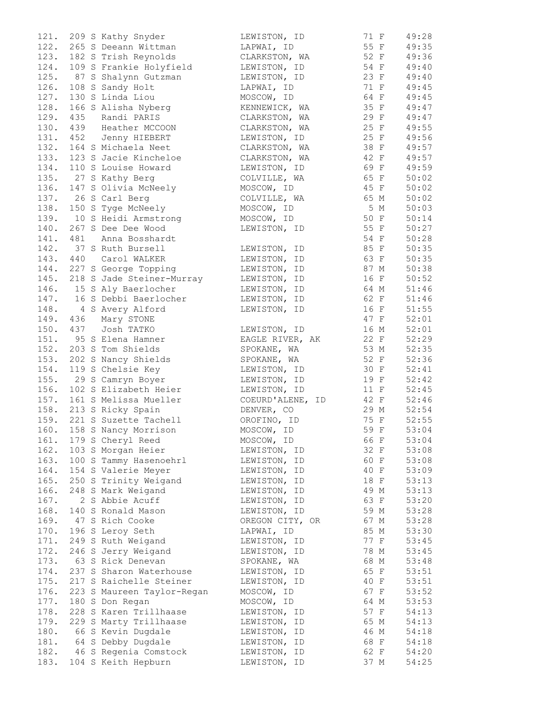|      |          | 121. 209 S Kathy Snyder                                | LEWISTON, ID                | 71 F | 49:28 |
|------|----------|--------------------------------------------------------|-----------------------------|------|-------|
|      |          | 122. 265 S Deeann Wittman                              | LAPWAI, ID                  | 55 F | 49:35 |
|      |          | 123. 182 S Trish Reynolds                              | CLARKSTON, WA               | 52 F | 49:36 |
| 124. |          | 109 S Frankie Holyfield                                | LEWISTON, ID                | 54 F | 49:40 |
| 125. |          | 87 S Shalynn Gutzman                                   | LEWISTON, ID                | 23 F | 49:40 |
| 126. |          | 108 S Sandy Holt                                       | LAPWAI, ID                  | 71 F | 49:45 |
| 127. |          | 130 S Linda Liou                                       | MOSCOW, ID                  | 64 F | 49:45 |
| 128. |          | 166 S Alisha Nyberg                                    | KENNEWICK, WA               | 35 F | 49:47 |
| 129. |          | 435 Randi PARIS                                        | CLARKSTON, WA               | 29 F | 49:47 |
|      |          | 130. 439 Heather MCCOON                                | CLARKSTON, WA               | 25 F | 49:55 |
|      |          | 131. 452 Jenny HIEBERT                                 | LEWISTON, ID                | 25 F | 49:56 |
|      |          | 132. 164 S Michaela Neet                               | CLARKSTON, WA               | 38 F | 49:57 |
|      |          | 133. 123 S Jacie Kincheloe                             | CLARKSTON, WA               | 42 F | 49:57 |
| 134. |          | 110 S Louise Howard                                    | LEWISTON, ID                | 69 F | 49:59 |
|      |          | 135. 27 S Kathy Berg                                   | COLVILLE, WA                | 65 F | 50:02 |
|      |          | 136. 147 S Olivia McNeely                              | MOSCOW, ID                  | 45 F | 50:02 |
|      |          | 137. 26 S Carl Berg                                    | COLVILLE, WA                | 65 M | 50:02 |
|      |          | 138. 150 S Tyge McNeely                                | MOSCOW, ID                  | 5 M  | 50:03 |
|      |          | 139. 10 S Heidi Armstrong                              | MOSCOW, ID                  | 50 F | 50:14 |
|      |          | 140. 267 S Dee Dee Wood                                | LEWISTON, ID                | 55 F | 50:27 |
|      | 141. 481 | Anna Bosshardt                                         |                             | 54 F | 50:28 |
|      |          | 142. 37 S Ruth Bursell                                 | LEWISTON, ID                | 85 F | 50:35 |
|      |          | 143. 440 Carol WALKER                                  | LEWISTON, ID                | 63 F | 50:35 |
|      |          | 144. 227 S George Topping                              | LEWISTON, ID                | 87 M | 50:38 |
|      |          | 145. 218 S Jade Steiner-Murray                         |                             | 16 F | 50:52 |
|      |          |                                                        | LEWISTON, ID                |      |       |
|      |          | 146. 15 S Aly Baerlocher<br>147. 16 S Debbi Baerlocher | LEWISTON, ID                | 64 M | 51:46 |
|      |          |                                                        | LEWISTON, ID                | 62 F | 51:46 |
|      |          | 148. 4 S Avery Alford                                  | LEWISTON, ID                | 16 F | 51:55 |
|      |          | 149. 436 Mary STONE                                    |                             | 47 F | 52:01 |
|      |          | 150. 437 Josh TATKO                                    | LEWISTON, ID                | 16 M | 52:01 |
|      |          | 151. 95 S Elena Hamner                                 | EAGLE RIVER, AK             | 22 F | 52:29 |
|      |          | 152. 203 S Tom Shields                                 | SPOKANE, WA                 | 53 M | 52:35 |
|      |          | 153. 202 S Nancy Shields                               | SPOKANE, WA                 | 52 F | 52:36 |
| 154. |          | 119 S Chelsie Key                                      | LEWISTON, ID                | 30 F | 52:41 |
|      |          | 155. 29 S Camryn Boyer                                 | LEWISTON, ID                | 19 F | 52:42 |
| 156. |          | 102 S Elizabeth Heier                                  | LEWISTON, ID                | 11 F | 52:45 |
|      |          | 157. 161 S Melissa Mueller                             | COEURD'ALENE, ID            | 42 F | 52:46 |
|      |          | 158. 213 S Ricky Spain                                 | DENVER, CO                  | 29 M | 52:54 |
|      |          | 159. 221 S Suzette Tachell                             | OROFINO, ID                 | 75 F | 52:55 |
|      |          | 160. 158 S Nancy Morrison                              | MOSCOW, ID                  | 59 F | 53:04 |
| 161. |          | 179 S Cheryl Reed                                      | MOSCOW, ID                  | 66 F | 53:04 |
| 162. |          | 103 S Morgan Heier                                     | LEWISTON, ID                | 32 F | 53:08 |
| 163. |          | 100 S Tammy Hasenoehrl                                 | LEWISTON, ID                | 60 F | 53:08 |
| 164. |          | 154 S Valerie Meyer                                    | LEWISTON, ID                | 40 F | 53:09 |
| 165. |          | 250 S Trinity Weigand                                  | LEWISTON, ID                | 18 F | 53:13 |
| 166. |          | 248 S Mark Weigand                                     | LEWISTON, ID                | 49 M | 53:13 |
| 167. |          | 2 S Abbie Acuff                                        | LEWISTON, ID                | 63 F | 53:20 |
| 168. |          | 140 S Ronald Mason                                     | LEWISTON, ID                | 59 M | 53:28 |
| 169. |          | 47 S Rich Cooke                                        | OREGON CITY, OR             | 67 M | 53:28 |
| 170. |          | 196 S Leroy Seth                                       | LAPWAI, ID                  | 85 M | 53:30 |
| 171. |          | 249 S Ruth Weigand                                     | LEWISTON, ID                | 77 F | 53:45 |
| 172. |          |                                                        |                             | 78 M |       |
| 173. |          | 246 S Jerry Weigand<br>63 S Rick Denevan               | LEWISTON, ID<br>SPOKANE, WA | 68 M | 53:45 |
|      |          |                                                        |                             |      | 53:48 |
| 174. |          | 237 S Sharon Waterhouse                                | LEWISTON, ID                | 65 F | 53:51 |
| 175. |          | 217 S Raichelle Steiner                                | LEWISTON, ID                | 40 F | 53:51 |
| 176. |          | 223 S Maureen Taylor-Regan                             | MOSCOW, ID                  | 67 F | 53:52 |
| 177. |          | 180 S Don Regan                                        | MOSCOW, ID                  | 64 M | 53:53 |
| 178. |          | 228 S Karen Trillhaase                                 | LEWISTON, ID                | 57 F | 54:13 |
| 179. |          | 229 S Marty Trillhaase                                 | LEWISTON, ID                | 65 M | 54:13 |
| 180. |          | 66 S Kevin Dugdale                                     | LEWISTON, ID                | 46 M | 54:18 |
| 181. |          | 64 S Debby Dugdale                                     | LEWISTON, ID                | 68 F | 54:18 |
| 182. |          | 46 S Regenia Comstock                                  | LEWISTON, ID                | 62 F | 54:20 |
| 183. |          | 104 S Keith Hepburn                                    | LEWISTON, ID                | 37 M | 54:25 |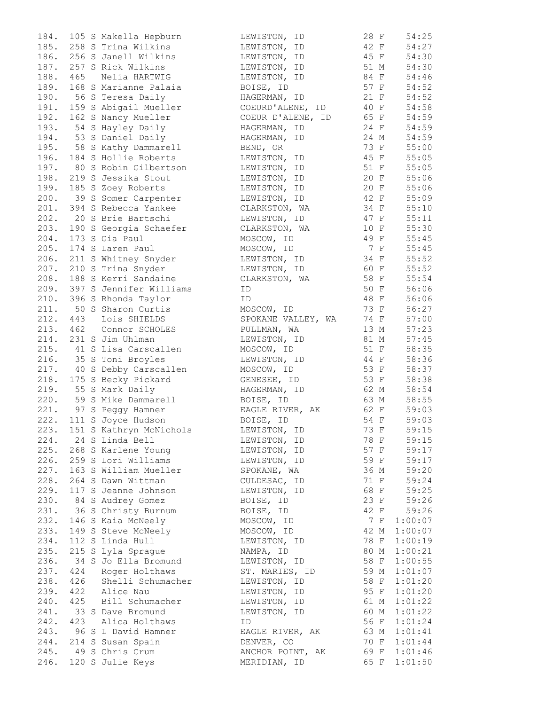| 184. |     | 105 S Makella Hepburn                                 | LEWISTON,<br>ID    | 28 F | 54:25          |
|------|-----|-------------------------------------------------------|--------------------|------|----------------|
|      |     | 185. 258 S Trina Wilkins                              | LEWISTON, ID       | 42 F | 54:27          |
|      |     | 186. 256 S Janell Wilkins                             | LEWISTON, ID       | 45 F | 54:30          |
|      |     | 187. 257 S Rick Wilkins                               | LEWISTON, ID       | 51 M | 54:30          |
| 188. | 465 | Nelia HARTWIG                                         | LEWISTON, ID       | 84 F | 54:46          |
| 189. |     | 168 S Marianne Palaia                                 | BOISE, ID          | 57 F | 54:52          |
|      |     | 190. 56 S Teresa Daily                                | HAGERMAN, ID       | 21 F | 54:52          |
|      |     | 191. 159 S Abigail Mueller                            | COEURD'ALENE, ID   | 40 F | 54:58          |
|      |     | 192. 162 S Nancy Mueller                              | COEUR D'ALENE, ID  | 65 F | 54:59          |
|      |     | 193. 54 S Hayley Daily                                | HAGERMAN, ID       | 24 F | 54:59          |
|      |     | 194. 53 S Daniel Daily                                | HAGERMAN, ID       | 24 M | 54:59          |
|      |     | 195. 58 S Kathy Dammarell                             |                    | 73 F | 55:00          |
|      |     |                                                       | BEND, OR           | 45 F |                |
|      |     | 196. 184 S Hollie Roberts                             | LEWISTON, ID       |      | 55:05          |
|      |     | 197. 80 S Robin Gilbertson                            | LEWISTON, ID       | 51 F | 55:05          |
|      |     | 198. 219 S Jessika Stout                              | LEWISTON, ID       | 20 F | 55:06          |
|      |     | 199. 185 S Zoey Roberts                               | LEWISTON, ID       | 20 F | 55:06          |
|      |     | 200. 39 S Somer Carpenter                             | LEWISTON, ID       | 42 F | 55:09          |
|      |     | 201. 394 S Rebecca Yankee                             | CLARKSTON, WA      | 34 F | 55:10          |
|      |     | 202. 20 S Brie Bartschi                               | LEWISTON, ID       | 47 F | 55:11          |
|      |     | 203. 190 S Georgia Schaefer                           | CLARKSTON, WA      | 10 F | 55:30          |
| 204. |     | 173 S Gia Paul                                        | MOSCOW, ID         | 49 F | 55:45          |
| 205. |     | 174 S Laren Paul                                      | MOSCOW, ID         | 7 F  | 55:45          |
|      |     | 206. 211 S Whitney Snyder                             | LEWISTON, ID       | 34 F | 55:52          |
| 207. |     | 210 S Trina Snyder                                    | LEWISTON, ID       | 60 F | 55:52          |
|      |     | 208. 188 S Kerri Sandaine                             | CLARKSTON, WA      | 58 F | 55:54          |
|      |     | 209. 397 S Jennifer Williams                          | ID                 | 50 F | 56:06          |
|      |     | 210. 396 S Rhonda Taylor                              | ID                 | 48 F | 56:06          |
|      |     | 211. 50 S Sharon Curtis                               | MOSCOW, ID         | 73 F | 56:27          |
|      |     | 212. 443 Lois SHIELDS                                 | SPOKANE VALLEY, WA | 74 F | 57:00          |
|      |     | 213. 462 Connor SCHOLES                               | PULLMAN, WA        | 13 M | 57:23          |
|      |     | 214. 231 S Jim Uhlman                                 | LEWISTON, ID       | 81 M | 57:45          |
|      |     | 215. 41 S Lisa Carscallen                             | MOSCOW, ID         | 51 F | 58:35          |
|      |     | 216. 35 S Toni Broyles                                | LEWISTON, ID       | 44 F | 58:36          |
|      |     |                                                       |                    | 53 F |                |
|      |     | 217. 40 S Debby Carscallen                            | MOSCOW, ID         |      | 58:37          |
|      |     | 218. 175 S Becky Pickard                              | GENESEE, ID        | 53 F | 58:38          |
|      |     | 219. 55 S Mark Daily<br>220. 59 S Mike Dammarell      | HAGERMAN, ID       | 62 M | 58:54          |
|      |     |                                                       | BOISE, ID          | 63 M | 58:55          |
|      |     | 221. 97 S Peggy Hamner                                | EAGLE RIVER, AK    | 62 F | 59:03          |
|      |     | 222. 111 S Joyce Hudson                               | BOISE, ID          | 54 F | 59:03          |
|      |     | 223. 151 S Kathryn McNichols                          | LEWISTON, ID       | 73 F | 59:15          |
|      |     | 224. 24 S Linda Bell                                  | LEWISTON, ID       | 78 F | 59:15          |
|      |     | 225. 268 S Karlene Young                              | LEWISTON, ID       |      | 57 F 59:17     |
|      |     | 226. 259 S Lori Williams                              | LEWISTON, ID       |      | 59 F 59:17     |
|      |     | 227. 163 S William Mueller                            | SPOKANE, WA        |      | $36 M$ $59:20$ |
|      |     | 228. 264 S Dawn Wittman                               | CULDESAC, ID       | 71 F | 59:24          |
|      |     | 229. 117 S Jeanne Johnson                             | LEWISTON, ID       | 68 F | 59:25          |
|      |     | 230. 84 S Audrey Gomez                                | BOISE, ID          | 23 F | 59:26          |
|      |     | 231. 36 S Christy Burnum                              | BOISE, ID          | 42 F | 59:26          |
|      |     | 232. 146 S Kaia McNeely                               | MOSCOW, ID         | 7 F  | 1:00:07        |
|      |     | 233. 149 S Steve McNeely                              | MOSCOW, ID         | 42 M | 1:00:07        |
| 234. |     | 112 S Linda Hull                                      | LEWISTON, ID       | 78 F | 1:00:19        |
| 235. |     | 215 S Lyla Sprague                                    | NAMPA, ID          | 80 M | 1:00:21        |
|      |     | 236. 34 S Jo Ella Bromund                             | LEWISTON, ID       | 58 F | 1:00:55        |
|      |     |                                                       | ST. MARIES, ID     | 59 M | 1:01:07        |
|      |     | 237. 424 Roger Holthaws<br>238. 426 Shelli Schumacher | LEWISTON, ID       | 58 F | 1:01:20        |
|      |     | 239. 422 Alice Nau                                    | LEWISTON, ID       | 95 F |                |
|      |     | 240. 425 Bill Schumacher                              | LEWISTON, ID       |      | 1:01:20        |
|      |     |                                                       |                    | 61 M | 1:01:22        |
|      |     | 241. 33 S Dave Bromund                                | LEWISTON, ID       | 60 M | 1:01:22        |
|      |     | 242. 423 Alica Holthaws                               | ID                 | 56 F | 1:01:24        |
|      |     | 243. 96 S L David Hamner                              | EAGLE RIVER, AK    | 63 M | 1:01:41        |
|      |     | 244. 214 S Susan Spain                                | DENVER, CO         | 70 F | 1:01:44        |
|      |     | 245. 49 S Chris Crum                                  | ANCHOR POINT, AK   |      | 69 F 1:01:46   |
|      |     | 246. 120 S Julie Keys                                 | MERIDIAN, ID       |      | 65 F 1:01:50   |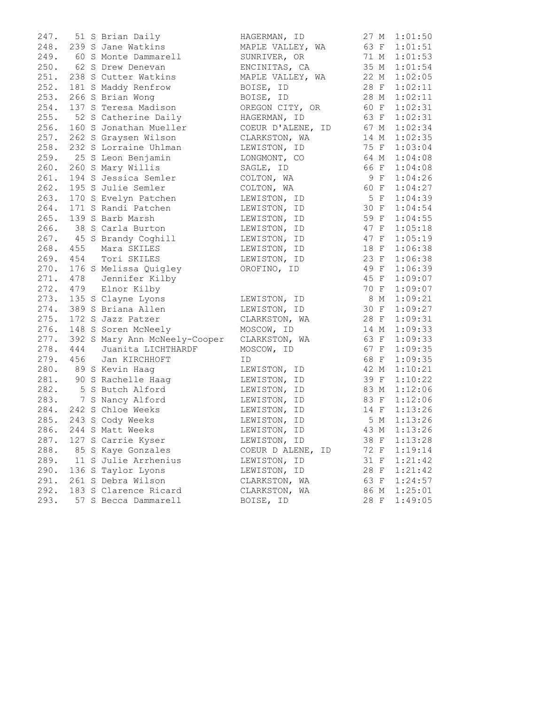| 247. |     | 51 S Brian Daily                               | HAGERMAN, ID      | 27 M | 1:01:50      |
|------|-----|------------------------------------------------|-------------------|------|--------------|
| 248. |     | 239 S Jane Watkins                             | MAPLE VALLEY, WA  | 63 F | 1:01:51      |
|      |     | 249. 60 S Monte Dammarell                      | SUNRIVER, OR      | 71 M | 1:01:53      |
|      |     | 250. 62 S Drew Denevan                         | ENCINITAS, CA     | 35 M | 1:01:54      |
|      |     | 251. 238 S Cutter Watkins                      | MAPLE VALLEY, WA  | 22 M | 1:02:05      |
| 252. |     | 181 S Maddy Renfrow                            | BOISE, ID         | 28 F | 1:02:11      |
|      |     | 253. 266 S Brian Wong                          | BOISE, ID         | 28 M | 1:02:11      |
| 254. |     | 137 S Teresa Madison                           | OREGON CITY, OR   | 60 F | 1:02:31      |
|      |     | 255. 52 S Catherine Daily                      | HAGERMAN, ID      | 63 F | 1:02:31      |
|      |     | 256. 160 S Jonathan Mueller                    | COEUR D'ALENE, ID | 67 M | 1:02:34      |
|      |     | 257. 262 S Graysen Wilson                      | CLARKSTON, WA     | 14 M | 1:02:35      |
|      |     | 258. 232 S Lorraine Uhlman                     | LEWISTON, ID      | 75 F | 1:03:04      |
|      |     | 259. 25 S Leon Benjamin                        | LONGMONT, CO      | 64 M | 1:04:08      |
|      |     | 260. 260 S Mary Willis                         | SAGLE, ID         | 66 F | 1:04:08      |
| 261. |     | 194 S Jessica Semler                           | COLTON, WA        | 9 F  | 1:04:26      |
|      |     | 262. 195 S Julie Semler                        | COLTON, WA        | 60 F | 1:04:27      |
|      |     | 263. 170 S Evelyn Patchen                      | LEWISTON, ID      | 5 F  | 1:04:39      |
|      |     | 264. 171 S Randi Patchen                       | LEWISTON, ID      | 30 F | 1:04:54      |
|      |     | 265. 139 S Barb Marsh                          | LEWISTON, ID      | 59 F | 1:04:55      |
|      |     | 266. 38 S Carla Burton                         | LEWISTON, ID      | 47 F | 1:05:18      |
|      |     | 267. 45 S Brandy Coghill                       | LEWISTON, ID      | 47 F | 1:05:19      |
|      |     | 268. 455 Mara SKILES                           | LEWISTON, ID      | 18 F | 1:06:38      |
|      |     | 269. 454 Tori SKILES                           | LEWISTON, ID      | 23 F | 1:06:38      |
|      |     | 270. 176 S Melissa Quigley                     | OROFINO, ID       | 49 F | 1:06:39      |
|      |     | 271. 478 Jennifer Kilby                        |                   | 45 F | 1:09:07      |
|      |     | 272. 479 Elnor Kilby                           |                   | 70 F | 1:09:07      |
|      |     | 273. 135 S Clayne Lyons                        | LEWISTON, ID      | 8 M  | 1:09:21      |
|      |     | 274. 389 S Briana Allen                        | LEWISTON, ID      | 30 F | 1:09:27      |
|      |     | 275. 172 S Jazz Patzer                         | CLARKSTON, WA     | 28 F | 1:09:31      |
|      |     | 276. 148 S Soren McNeely                       | MOSCOW, ID        | 14 M | 1:09:33      |
| 277. |     | 392 S Mary Ann McNeely-Cooper                  | CLARKSTON, WA     | 63 F | 1:09:33      |
| 278. | 444 | Juanita LICHTHARDF                             | MOSCOW, ID        | 67 F | 1:09:35      |
|      |     | 279. 456 Jan KIRCHHOFT                         | ID                | 68 F | 1:09:35      |
|      |     | 280. 89 S Kevin Haag                           | LEWISTON, ID      | 42 M | 1:10:21      |
|      |     | 281. 90 S Rachelle Haag                        | LEWISTON, ID      | 39 F | 1:10:22      |
|      |     | 282. 5 S Butch Alford<br>283. 7 S Nancy Alford | LEWISTON, ID      | 83 M | 1:12:06      |
|      |     |                                                | LEWISTON, ID      | 83 F | 1:12:06      |
|      |     | 284. 242 S Chloe Weeks                         | LEWISTON, ID      | 14 F | 1:13:26      |
|      |     | 285. 243 S Cody Weeks                          | LEWISTON, ID      | 5 M  | 1:13:26      |
|      |     | 286. 244 S Matt Weeks                          | LEWISTON, ID      |      | 43 M 1:13:26 |
| 287. |     | 127 S Carrie Kyser                             | LEWISTON, ID      | 38 F | 1:13:28      |
| 288. |     | 85 S Kaye Gonzales                             | COEUR D ALENE, ID | 72 F | 1:19:14      |
| 289. |     | 11 S Julie Arrhenius                           | LEWISTON, ID      | 31 F | 1:21:42      |
| 290. |     | 136 S Taylor Lyons                             | LEWISTON, ID      | 28 F | 1:21:42      |
| 291. |     | 261 S Debra Wilson                             | CLARKSTON, WA     | 63 F | 1:24:57      |
| 292. |     | 183 S Clarence Ricard                          | CLARKSTON, WA     | 86 M | 1:25:01      |
| 293. |     | 57 S Becca Dammarell                           | BOISE, ID         | 28 F | 1:49:05      |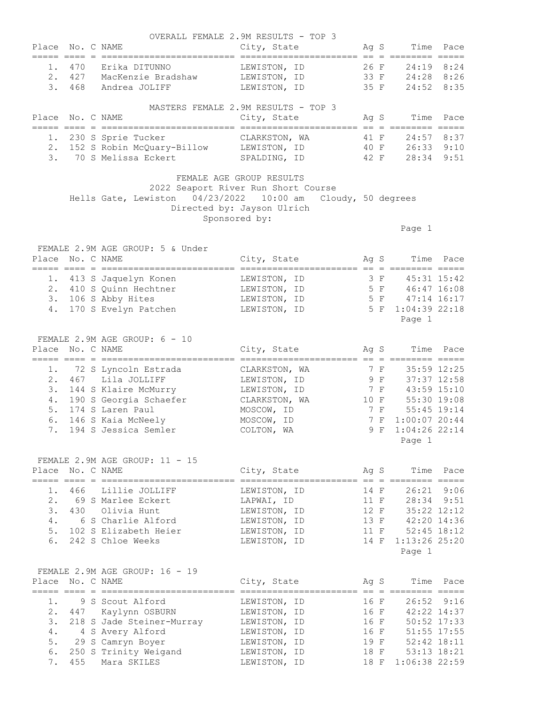|                | Place No. C NAME |                                                                  | OVERALL FEMALE 2.9M RESULTS - TOP 3<br>City, State                 |      |     | Ag S                               | Time Pace       |
|----------------|------------------|------------------------------------------------------------------|--------------------------------------------------------------------|------|-----|------------------------------------|-----------------|
| 1.<br>2.<br>3. |                  | 470 Erika DITUNNO<br>427 MacKenzie Bradshaw<br>468 Andrea JOLIFF | LEWISTON, ID<br>LEWISTON, ID 33 F 24:28 8:26                       | 35 F |     | 26 F<br>24:19 8:24<br>24:52 8:35   |                 |
| Place          | No. C NAME       |                                                                  | LEWISTON, ID<br>MASTERS FEMALE 2.9M RESULTS - TOP 3<br>City, State |      |     | Ag S<br>Time                       | Pace            |
|                |                  |                                                                  |                                                                    |      |     |                                    |                 |
|                |                  | 1. 230 S Sprie Tucker                                            | CLARKSTON, WA                                                      |      |     | $24:57$ 8:37<br>41 F               |                 |
|                |                  | 2. 152 S Robin McQuary-Billow LEWISTON, ID 40 F 26:33 9:10       |                                                                    |      |     |                                    |                 |
|                |                  | 3. 70 S Melissa Eckert                                           | SPALDING, ID 42 F                                                  |      |     | 28:34 9:51                         |                 |
|                |                  |                                                                  | FEMALE AGE GROUP RESULTS<br>2022 Seaport River Run Short Course    |      |     |                                    |                 |
|                |                  | Hells Gate, Lewiston 04/23/2022 10:00 am Cloudy, 50 degrees      | Directed by: Jayson Ulrich<br>Sponsored by:                        |      |     |                                    |                 |
|                |                  |                                                                  |                                                                    |      |     | Page 1                             |                 |
|                |                  | FEMALE 2.9M AGE GROUP: 5 & Under                                 |                                                                    |      |     |                                    |                 |
| Place          | No. C NAME       |                                                                  | City, State                                                        |      |     | Ag S<br>Time                       | Pace            |
|                |                  |                                                                  |                                                                    |      |     |                                    |                 |
|                |                  | 1. 413 S Jaquelyn Konen<br>2. 410 S Quinn Hechtner               | LEWISTON, ID<br>LEWISTON, ID                                       |      |     | 3 F 45:31 15:42                    |                 |
|                |                  | 3. 106 S Abby Hites                                              | LEWISTON, ID                                                       |      |     | 5 F 46:47 16:08<br>5 F 47:14 16:17 |                 |
| 4.             |                  | 170 S Evelyn Patchen                                             | LEWISTON, ID                                                       |      |     | 5 F 1:04:39 22:18                  |                 |
|                |                  |                                                                  |                                                                    |      |     | Page 1                             |                 |
|                |                  |                                                                  |                                                                    |      |     |                                    |                 |
| Place          | No. C NAME       | FEMALE 2.9M AGE GROUP: 6 - 10                                    | City, State                                                        |      |     | Ag S<br>Time                       | Pace            |
|                |                  |                                                                  |                                                                    |      |     |                                    |                 |
|                |                  | 1. 72 S Lyncoln Estrada                                          | CLARKSTON, WA                                                      |      | 7 F | 35:59 12:25                        |                 |
| 2.             |                  | 467 Lila JOLLIFF                                                 | LEWISTON, ID                                                       | 9 F  |     | 37:37 12:58                        |                 |
|                |                  | 3. 144 S Klaire McMurry                                          | LEWISTON, ID                                                       |      | 7 F | 43:59 15:10                        |                 |
|                |                  | 4. 190 S Georgia Schaefer                                        | CLARKSTON, WA                                                      |      |     | 10 F 55:30 19:08                   |                 |
|                |                  | 5. 174 S Laren Paul                                              | MOSCOW, ID                                                         | 7 F  |     |                                    | $55:45$ $19:14$ |
| 6.             |                  | 146 S Kaia McNeely                                               | MOSCOW, ID                                                         |      |     | 7 F 1:00:07 20:44                  |                 |
|                |                  | 7. 194 S Jessica Semler                                          | COLTON, WA                                                         |      |     | 9 F 1:04:26 22:14                  |                 |
|                |                  |                                                                  |                                                                    |      |     | Page 1                             |                 |
|                |                  | FEMALE 2.9M AGE GROUP: 11 - 15                                   |                                                                    |      |     |                                    |                 |
|                | Place No. C NAME |                                                                  | City, State Ag S                                                   |      |     |                                    | Time Pace       |
| 1.             |                  | 466 Lillie JOLLIFF                                               | LEWISTON, ID                                                       |      |     | 14 F 26:21 9:06                    |                 |
| 2.             |                  | 69 S Marlee Eckert                                               | LAPWAI, ID                                                         |      |     | 11 F 28:34 9:51                    |                 |
| 3.             |                  | 430 Olivia Hunt                                                  | LEWISTON, ID                                                       | 12 F |     | 35:22 12:12                        |                 |
| 4.             |                  | 6 S Charlie Alford                                               | LEWISTON, ID                                                       |      |     | 13 F 42:20 14:36                   |                 |
|                |                  | 5. 102 S Elizabeth Heier                                         | LEWISTON, ID                                                       |      |     | 11 F 52:45 18:12                   |                 |
| 6.             |                  | 242 S Chloe Weeks                                                | LEWISTON, ID                                                       |      |     | 14 F 1:13:26 25:20                 |                 |
|                |                  |                                                                  |                                                                    |      |     | Page 1                             |                 |
|                |                  | FEMALE 2.9M AGE GROUP: 16 - 19                                   |                                                                    |      |     |                                    |                 |
|                | Place No. C NAME |                                                                  | City, State                                                        | Ag S |     |                                    | Time Pace       |
| 1.             |                  | 9 S Scout Alford                                                 | LEWISTON, ID                                                       | 16 F |     | 26:52                              | 9:16            |
| 2.             | 447              | Kaylynn OSBURN                                                   | LEWISTON, ID                                                       | 16 F |     | 42:22 14:37                        |                 |
| 3.             |                  | 218 S Jade Steiner-Murray                                        | LEWISTON, ID                                                       | 16 F |     | 50:52 17:33                        |                 |
| 4.             |                  | 4 S Avery Alford                                                 | LEWISTON, ID                                                       | 16 F |     | 51:55 17:55                        |                 |
| 5.             |                  | 29 S Camryn Boyer                                                | LEWISTON, ID                                                       | 19 F |     | 52:42 18:11                        |                 |
| 6.             |                  | 250 S Trinity Weigand                                            | LEWISTON, ID                                                       |      |     | 53:13 18:21<br>18 F                |                 |
| 7.             | 455              | Mara SKILES                                                      | LEWISTON, ID                                                       | 18 F |     | 1:06:38 22:59                      |                 |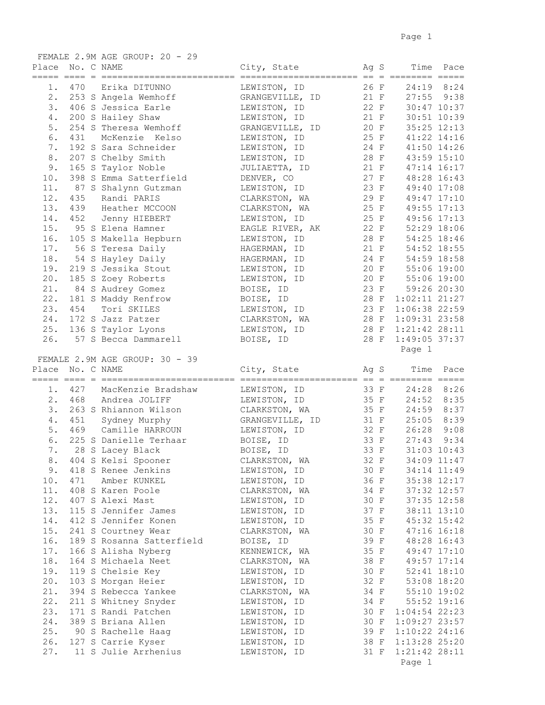|       |                  | FEMALE 2.9M AGE GROUP: 20 - 29 |                 |      |                                      |             |
|-------|------------------|--------------------------------|-----------------|------|--------------------------------------|-------------|
| Place | No. C NAME       |                                | City, State     |      | Ag S                                 | Time Pace   |
| 1.    |                  | 470 Erika DITUNNO              | LEWISTON, ID    | 26 F | $24:19$ 8:24                         |             |
|       |                  | 2. 253 S Angela Wemhoff        | GRANGEVILLE, ID | 21 F | $27:55$ $9:38$                       |             |
| 3.    |                  | 406 S Jessica Earle            | LEWISTON, ID    | 22 F | 30:47 10:37                          |             |
| 4.    |                  | 200 S Hailey Shaw              | LEWISTON, ID    | 21 F | 30:51 10:39                          |             |
| 5.    |                  | 254 S Theresa Wemhoff          | GRANGEVILLE, ID | 20 F | 35:25 12:13                          |             |
| 6.    | 431              | McKenzie Kelso                 | LEWISTON, ID    |      | 25 F 41:22 14:16                     |             |
| 7.    |                  | 192 S Sara Schneider           | LEWISTON, ID    |      | 24 F 41:50 14:26                     |             |
| 8.    |                  | 207 S Chelby Smith             | LEWISTON, ID    |      | 28 F 43:59 15:10                     |             |
| 9.    |                  | 165 S Taylor Noble             | JULIAETTA, ID   | 21 F | 47:14 16:17                          |             |
| 10.   |                  | 398 S Emma Satterfield         | DENVER, CO      | 27 F | 48:28 16:43                          |             |
| 11.   |                  | 87 S Shalynn Gutzman           | LEWISTON, ID    | 23 F | 49:40 17:08                          |             |
| 12.   |                  | 435 Randi PARIS                | CLARKSTON, WA   | 29 F | 49:47 17:10                          |             |
| 13.   |                  | 439 Heather MCCOON             | CLARKSTON, WA   | 25 F | 49:55 17:13                          |             |
| 14.   |                  | 452 Jenny HIEBERT              | LEWISTON, ID    |      | 25 F 49:56 17:13                     |             |
| 15.   |                  | 95 S Elena Hamner              | EAGLE RIVER, AK |      | 22 F 52:29 18:06                     |             |
| 16.   |                  | 105 S Makella Hepburn          | LEWISTON, ID    |      | 28 F 54:25 18:46                     |             |
| 17.   |                  | 56 S Teresa Daily              | HAGERMAN, ID    |      | 21 F 54:52 18:55                     |             |
| 18.   |                  | 54 S Hayley Daily              | HAGERMAN, ID    |      | 24 F 54:59 18:58                     |             |
| 19.   |                  | 219 S Jessika Stout            | LEWISTON, ID    |      |                                      |             |
| 20.   |                  | 185 S Zoey Roberts             | LEWISTON, ID    |      | 20 F 55:06 19:00<br>20 F 55:06 19:00 |             |
| 21.   |                  | 84 S Audrey Gomez              | BOISE, ID       | 23 F |                                      | 59:26 20:30 |
| 22.   |                  | 181 S Maddy Renfrow            | BOISE, ID       | 28 F | $1:02:11$ $21:27$                    |             |
| 23.   | 454              | Tori SKILES                    | LEWISTON, ID    | 23 F | 1:06:38 22:59                        |             |
| 24.   |                  | 172 S Jazz Patzer              | CLARKSTON, WA   | 28 F | $1:09:31$ 23:58                      |             |
| 25.   |                  | 136 S Taylor Lyons             | LEWISTON, ID    | 28 F | $1:21:42$ 28:11                      |             |
| 26.   |                  | 57 S Becca Dammarell           | BOISE, ID       | 28 F | $1:49:05$ 37:37                      |             |
|       |                  |                                |                 |      | Page 1                               |             |
|       |                  | FEMALE 2.9M AGE GROUP: 30 - 39 |                 |      |                                      |             |
|       |                  |                                |                 |      |                                      |             |
|       | Place No. C NAME |                                | City, State     |      | Time<br>Ag S                         | Pace        |
|       |                  |                                |                 |      |                                      |             |
| $1$ . |                  | 427 MacKenzie Bradshaw         | LEWISTON, ID    | 33 F | 24:28 8:26                           |             |
|       |                  | 2. 468 Andrea JOLIFF           | LEWISTON, ID    |      | 35 F 24:52                           | 8:35        |
|       |                  | 3. 263 S Rhiannon Wilson       | CLARKSTON, WA   |      | 35 F 24:59                           | 8:37        |
| 4.    |                  | 451 Sydney Murphy              | GRANGEVILLE, ID |      | 31 F 25:05                           | 8:39        |
| 5.    |                  | 469 Camille HARROUN            | LEWISTON, ID    |      | 32 F 26:28                           | 9:08        |
| 6.    |                  | 225 S Danielle Terhaar         | BOISE, ID       | 33 F | 27:43                                | 9:34        |
|       |                  | 7. 28 S Lacey Black            | BOISE, ID       | 33 F |                                      | 31:03 10:43 |
| 8.    |                  | 404 S Kelsi Spooner            | CLARKSTON, WA   | 32 F |                                      | 34:09 11:47 |
| 9.    |                  | 418 S Renee Jenkins            | LEWISTON, ID    | 30 F |                                      | 34:14 11:49 |
| 10.   | 471              | Amber KUNKEL                   | LEWISTON, ID    | 36 F |                                      | 35:38 12:17 |
| 11.   |                  | 408 S Karen Poole              | CLARKSTON, WA   | 34 F |                                      | 37:32 12:57 |
| 12.   |                  | 407 S Alexi Mast               | LEWISTON, ID    | 30 F |                                      | 37:35 12:58 |
| 13.   |                  | 115 S Jennifer James           | LEWISTON, ID    | 37 F |                                      | 38:11 13:10 |
| 14.   |                  | 412 S Jennifer Konen           | LEWISTON, ID    | 35 F |                                      | 45:32 15:42 |
| 15.   |                  | 241 S Courtney Wear            | CLARKSTON, WA   | 30 F |                                      | 47:16 16:18 |
| 16.   |                  | 189 S Rosanna Satterfield      | BOISE, ID       | 39 F |                                      | 48:28 16:43 |
| 17.   |                  | 166 S Alisha Nyberg            | KENNEWICK, WA   | 35 F |                                      | 49:47 17:10 |
| 18.   |                  | 164 S Michaela Neet            | CLARKSTON, WA   | 38 F |                                      | 49:57 17:14 |
| 19.   |                  | 119 S Chelsie Key              | LEWISTON, ID    | 30 F |                                      | 52:41 18:10 |
| 20.   |                  | 103 S Morgan Heier             | LEWISTON, ID    | 32 F |                                      | 53:08 18:20 |
| 21.   |                  | 394 S Rebecca Yankee           | CLARKSTON, WA   | 34 F | 55:10 19:02                          |             |
| 22.   |                  | 211 S Whitney Snyder           | LEWISTON, ID    | 34 F |                                      | 55:52 19:16 |
| 23.   |                  | 171 S Randi Patchen            | LEWISTON, ID    | 30 F | $1:04:54$ 22:23                      |             |
| 24.   |                  | 389 S Briana Allen             | LEWISTON, ID    | 30 F | 1:09:27 23:57                        |             |
| 25.   |                  | 90 S Rachelle Haag             | LEWISTON, ID    | 39 F | $1:10:22$ 24:16                      |             |
| 26.   |                  | 127 S Carrie Kyser             | LEWISTON, ID    | 38 F | 1:13:28 25:20                        |             |
| 27.   |                  | 11 S Julie Arrhenius           | LEWISTON, ID    | 31 F | 1:21:42 28:11<br>Page 1              |             |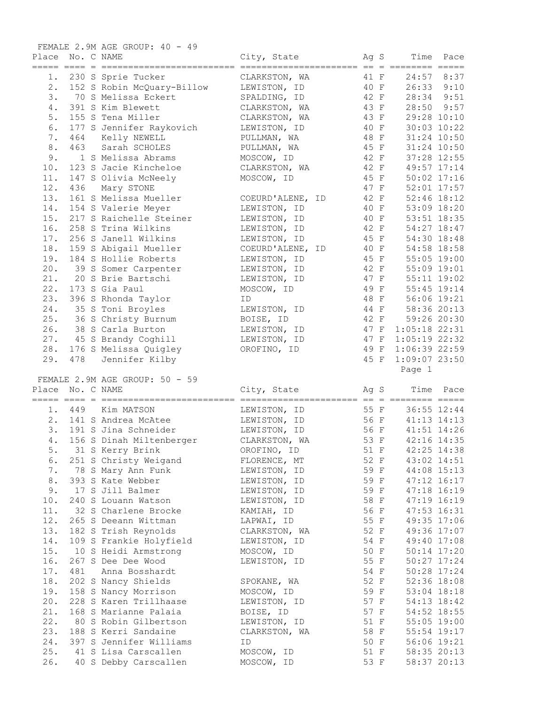|            |                  | FEMALE 2.9M AGE GROUP: 40 - 49                |                          |              |                           |                            |
|------------|------------------|-----------------------------------------------|--------------------------|--------------|---------------------------|----------------------------|
|            | Place No. C NAME |                                               | City, State              | Ag S         |                           | Time Pace                  |
| 1.         |                  | 230 S Sprie Tucker                            | CLARKSTON, WA            | 41 F         |                           | 24:57 8:37                 |
| 2.         |                  | 152 S Robin McQuary-Billow                    | LEWISTON, ID             | 40 F         |                           | $26:33$ $9:10$             |
| 3.         |                  | 70 S Melissa Eckert                           | SPALDING, ID             | 42 F         | 28:34                     | 9:51                       |
| 4.         |                  | 391 S Kim Blewett                             | CLARKSTON, WA            | 43 F         | 28:50                     | 9:57                       |
| 5.         |                  | 155 S Tena Miller                             | CLARKSTON, WA            | 43 F         | 29:28 10:10               |                            |
| 6.         |                  | 177 S Jennifer Raykovich                      | LEWISTON, ID             | 40 F         | 30:03 10:22               |                            |
| 7.         | 464              | Kelly NEWELL                                  | PULLMAN, WA              | 48 F         |                           | 31:24 10:50                |
| 8.         | 463              | Sarah SCHOLES                                 | PULLMAN, WA              | 45 F         | 31:24 10:50               |                            |
| 9.         |                  | 1 S Melissa Abrams                            | MOSCOW, ID               | 42 F         |                           | 37:28 12:55                |
| 10.        |                  | 123 S Jacie Kincheloe                         | CLARKSTON, WA            | 42 F         |                           | 49:57 17:14                |
| 11.        |                  | 147 S Olivia McNeely                          | MOSCOW, ID               | 45 F         |                           | 50:02 17:16                |
| 12.        | 436              | Mary STONE                                    |                          | 47 F         |                           | 52:01 17:57                |
| 13.        |                  | 161 S Melissa Mueller                         | COEURD'ALENE, ID         | 42 F         | 52:46 18:12               |                            |
| 14.        |                  | 154 S Valerie Meyer                           | LEWISTON, ID             | 40 F         | 53:09 18:20               |                            |
| 15.        |                  | 217 S Raichelle Steiner                       | LEWISTON, ID             | 40 F         |                           | 53:51 18:35                |
| 16.        |                  | 258 S Trina Wilkins                           | LEWISTON, ID             | 42 F         |                           | 54:27 18:47                |
| 17.        |                  | 256 S Janell Wilkins                          | LEWISTON, ID             | 45 F         |                           | 54:30 18:48                |
| 18.        |                  | 159 S Abigail Mueller                         | COEURD'ALENE, ID         | 40 F         |                           | 54:58 18:58                |
| 19.        |                  | 184 S Hollie Roberts                          | LEWISTON, ID             | 45 F         |                           | 55:05 19:00                |
| 20.        |                  | 39 S Somer Carpenter                          | LEWISTON, ID             | 42 F         | 55:09 19:01               |                            |
| 21.        |                  | 20 S Brie Bartschi                            | LEWISTON, ID             | 47 F         |                           | 55:11 19:02                |
| 22.        |                  | 173 S Gia Paul                                | MOSCOW, ID               | 49 F         | 55:45 19:14               |                            |
| 23.        |                  | 396 S Rhonda Taylor                           | ID                       | 48 F         | 56:06 19:21               |                            |
| 24.        |                  |                                               |                          | 44 F         | 58:36 20:13               |                            |
|            |                  | 35 S Toni Broyles                             | LEWISTON, ID             |              |                           |                            |
| 25.        |                  | 36 S Christy Burnum                           | BOISE, ID                | 42 F         |                           | 59:26 20:30                |
| 26.        |                  | 38 S Carla Burton                             | LEWISTON, ID             | 47 F         | $1:05:18$ 22:31           |                            |
| 27.        |                  | 45 S Brandy Coghill                           | LEWISTON, ID             | 47 F         | $1:05:19$ 22:32           |                            |
| 28.        |                  | 176 S Melissa Quigley                         | OROFINO, ID              | 49 F         | $1:06:39$ 22:59           |                            |
| 29.        | 478              | Jennifer Kilby                                |                          | 45 F         | $1:09:07$ 23:50<br>Page 1 |                            |
|            |                  | FEMALE 2.9M AGE GROUP: 50 - 59                |                          |              |                           |                            |
| Place      | No. C NAME       |                                               | City, State              | Ag S         | Time                      | Pace                       |
|            |                  |                                               |                          |              |                           |                            |
|            | 1. 449           | Kim MATSON                                    | LEWISTON, ID             | 55 F         | 36:55 12:44               |                            |
| 2.         |                  | 141 S Andrea McAtee                           | LEWISTON, ID             | 56 F         | 41:13 14:13               |                            |
| 3.         |                  | 191 S Jina Schneider                          | LEWISTON, ID             | 56 F         |                           | 41:51 14:26                |
| 4.         |                  | 156 S Dinah Miltenberger                      | CLARKSTON, WA            | 53 F         |                           | 42:16 14:35                |
| 5.         |                  | 31 S Kerry Brink                              | OROFINO, ID              | 51 F         |                           | 42:25 14:38                |
| 6.         |                  | 251 S Christy Weigand                         | FLORENCE, MT             | 52 F         |                           | 43:02 14:51                |
| 7.         |                  | 78 S Mary Ann Funk                            | LEWISTON, ID             | 59 F         |                           | 44:08 15:13                |
| 8.         |                  | 393 S Kate Webber                             | LEWISTON, ID             | 59 F         |                           | 47:12 16:17                |
| 9.         |                  | 17 S Jill Balmer                              | LEWISTON, ID             | 59 F         |                           | 47:18 16:19                |
| 10.        |                  | 240 S Louann Watson                           | LEWISTON, ID             | 58 F         |                           | 47:19 16:19                |
| 11.        |                  | 32 S Charlene Brocke                          | KAMIAH, ID               | 56 F         |                           | 47:53 16:31                |
| 12.        |                  | 265 S Deeann Wittman                          | LAPWAI, ID               | 55 F         |                           | 49:35 17:06                |
| 13.        |                  |                                               |                          |              |                           | 49:36 17:07                |
|            |                  |                                               |                          |              |                           |                            |
|            |                  | 182 S Trish Reynolds                          | CLARKSTON, WA            | 52 F         |                           |                            |
| 14.        |                  | 109 S Frankie Holyfield                       | LEWISTON, ID             | 54 F         |                           | 49:40 17:08                |
| 15.        |                  | 10 S Heidi Armstrong                          | MOSCOW, ID               | 50 F         |                           | 50:14 17:20                |
| 16.        |                  | 267 S Dee Dee Wood                            | LEWISTON, ID             | 55 F         |                           | 50:27 17:24                |
| 17.        | 481              | Anna Bosshardt                                |                          | 54 F         |                           | 50:28 17:24                |
| 18.        |                  | 202 S Nancy Shields                           | SPOKANE, WA              | 52 F         |                           | 52:36 18:08                |
| 19.        |                  | 158 S Nancy Morrison                          | MOSCOW, ID               | 59 F         |                           | 53:04 18:18                |
| 20.        |                  | 228 S Karen Trillhaase                        | LEWISTON, ID             | 57 F         |                           | 54:13 18:42                |
| 21.        |                  | 168 S Marianne Palaia                         | BOISE, ID                | 57 F         |                           | 54:52 18:55                |
| 22.        |                  | 80 S Robin Gilbertson                         | LEWISTON, ID             | 51 F         |                           | 55:05 19:00                |
| 23.        |                  | 188 S Kerri Sandaine                          | CLARKSTON, WA            | 58 F         |                           | 55:54 19:17                |
| 24.        |                  | 397 S Jennifer Williams                       | ID                       | 50 F         |                           | 56:06 19:21                |
| 25.<br>26. |                  | 41 S Lisa Carscallen<br>40 S Debby Carscallen | MOSCOW, ID<br>MOSCOW, ID | 51 F<br>53 F |                           | 58:35 20:13<br>58:37 20:13 |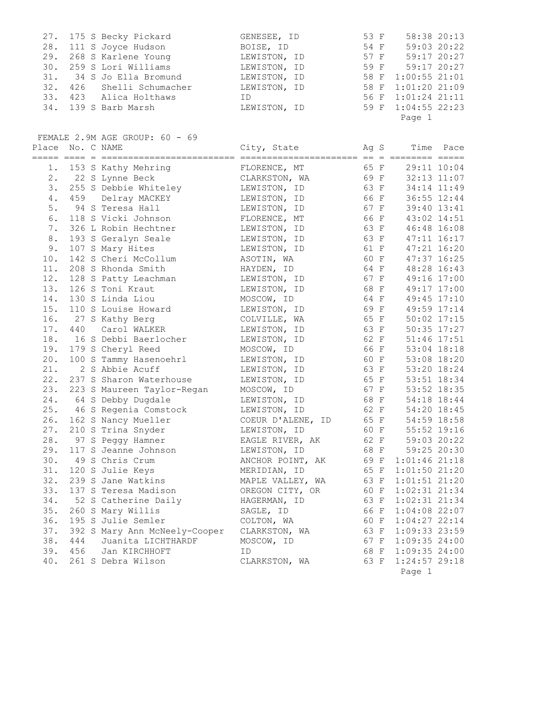| 27. 175 S Becky Pickard   | GENESEE, ID  | 58:38 20:13<br>53 F |
|---------------------------|--------------|---------------------|
| 28. 111 S Joyce Hudson    | BOISE, ID    | 59:03 20:22<br>54 F |
| 29. 268 S Karlene Young   | LEWISTON, ID | 59:17 20:27<br>57 F |
| 30. 259 S Lori Williams   | LEWISTON, ID | 59 F 59:17 20:27    |
| 31. 34 S Jo Ella Bromund  | LEWISTON, ID | 58 F 1:00:55 21:01  |
| 32. 426 Shelli Schumacher | LEWISTON, ID | 58 F 1:01:20 21:09  |
| 33. 423 Alica Holthaws    | ID.          | 56 F 1:01:24 21:11  |
| 34. 139 S Barb Marsh      | LEWISTON, ID | 59 F 1:04:55 22:23  |
|                           |              | Page 1              |

FEMALE 2.9M AGE GROUP: 60 - 69

| Place No. C NAME |     |                               | City, State       | Ag S |                 | Time Pace |
|------------------|-----|-------------------------------|-------------------|------|-----------------|-----------|
| 1.               |     | 153 S Kathy Mehring           | FLORENCE, MT      | 65 F | 29:11 10:04     |           |
| 2.               |     | 22 S Lynne Beck               | CLARKSTON, WA     | 69 F | 32:13 11:07     |           |
| 3.               |     | 255 S Debbie Whiteley         | LEWISTON, ID      | 63 F | 34:14 11:49     |           |
| $4$ .            | 459 | Delray MACKEY                 | LEWISTON, ID      | 66 F | 36:55 12:44     |           |
| 5.               |     | 94 S Teresa Hall              | LEWISTON, ID      | 67 F | 39:40 13:41     |           |
| 6.               |     | 118 S Vicki Johnson           | FLORENCE, MT      | 66 F | 43:02 14:51     |           |
| 7.               |     | 326 L Robin Hechtner          | LEWISTON, ID      | 63 F | 46:48 16:08     |           |
| 8.               |     | 193 S Geralyn Seale           | LEWISTON, ID      | 63 F | 47:11 16:17     |           |
| 9.               |     | 107 S Mary Hites              | LEWISTON, ID      | 61 F | 47:21 16:20     |           |
| 10.              |     | 142 S Cheri McCollum          | ASOTIN, WA        | 60 F | 47:37 16:25     |           |
| 11.              |     | 208 S Rhonda Smith            | HAYDEN, ID        | 64 F | 48:28 16:43     |           |
| 12.              |     | 128 S Patty Leachman          | LEWISTON, ID      | 67 F | 49:16 17:00     |           |
| 13.              |     | 126 S Toni Kraut              | LEWISTON, ID      | 68 F | 49:17 17:00     |           |
| 14.              |     | 130 S Linda Liou              | MOSCOW, ID        | 64 F | 49:45 17:10     |           |
| 15.              |     | 110 S Louise Howard           | LEWISTON, ID      | 69 F | 49:59 17:14     |           |
| 16.              |     | 27 S Kathy Berg               | COLVILLE, WA      | 65 F | 50:02 17:15     |           |
| 17.              | 440 | Carol WALKER                  | LEWISTON, ID      | 63 F | 50:35 17:27     |           |
| 18.              |     | 16 S Debbi Baerlocher         | LEWISTON, ID      | 62 F | 51:46 17:51     |           |
| 19.              |     | 179 S Cheryl Reed             | MOSCOW, ID        | 66 F | 53:04 18:18     |           |
| 20.              |     | 100 S Tammy Hasenoehrl        | LEWISTON, ID      | 60 F | 53:08 18:20     |           |
| 21.              |     | 2 S Abbie Acuff               | LEWISTON, ID      | 63 F | 53:20 18:24     |           |
| 22.              |     | 237 S Sharon Waterhouse       | LEWISTON, ID      | 65 F | 53:51 18:34     |           |
| 23.              |     | 223 S Maureen Taylor-Regan    | MOSCOW, ID        | 67 F | 53:52 18:35     |           |
| 24.              |     | 64 S Debby Dugdale            | LEWISTON, ID      | 68 F | 54:18 18:44     |           |
| 25.              |     | 46 S Regenia Comstock         | LEWISTON, ID      | 62 F | 54:20 18:45     |           |
| 26.              |     | 162 S Nancy Mueller           | COEUR D'ALENE, ID | 65 F | 54:59 18:58     |           |
| 27.              |     | 210 S Trina Snyder            | LEWISTON, ID      | 60 F | $55:52$ 19:16   |           |
| 28.              |     | 97 S Peggy Hamner             | EAGLE RIVER, AK   | 62 F | 59:03 20:22     |           |
| 29.              |     | 117 S Jeanne Johnson          | LEWISTON, ID      | 68 F | 59:25 20:30     |           |
| 30.              |     | 49 S Chris Crum               | ANCHOR POINT, AK  | 69 F | $1:01:46$ 21:18 |           |
| 31.              |     | 120 S Julie Keys              | MERIDIAN, ID      | 65 F | 1:01:50 21:20   |           |
| 32.              |     | 239 S Jane Watkins            | MAPLE VALLEY, WA  | 63 F | 1:01:51 21:20   |           |
| 33.              |     | 137 S Teresa Madison          | OREGON CITY, OR   | 60 F | $1:02:31$ 21:34 |           |
| 34.              |     | 52 S Catherine Daily          | HAGERMAN, ID      | 63 F | $1:02:31$ 21:34 |           |
| 35.              |     | 260 S Mary Willis             | SAGLE, ID         | 66 F | $1:04:08$ 22:07 |           |
| 36.              |     | 195 S Julie Semler            | COLTON, WA        | 60 F | $1:04:27$ 22:14 |           |
| 37.              |     | 392 S Mary Ann McNeely-Cooper | CLARKSTON, WA     | 63 F | $1:09:33$ 23:59 |           |
| 38.              | 444 | Juanita LICHTHARDF            | MOSCOW, ID        | 67 F | $1:09:35$ 24:00 |           |
| 39.              | 456 | Jan KIRCHHOFT                 | ID                | 68 F | $1:09:35$ 24:00 |           |
| 40.              |     | 261 S Debra Wilson            | CLARKSTON, WA     | 63 F | $1:24:57$ 29:18 |           |
|                  |     |                               |                   |      | Page 1          |           |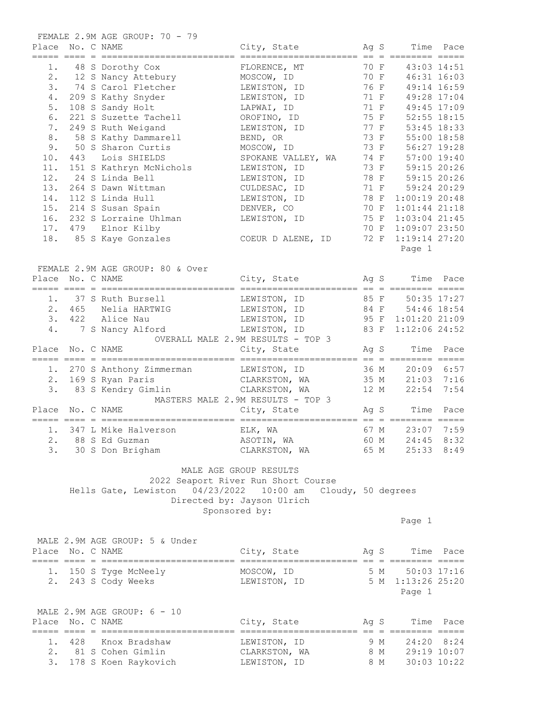| Place | No. C NAME       | FEMALE 2.9M AGE GROUP: 70 - 79                              | City, State                                                                                                  |              | Ag S                                                     | Time Pace |
|-------|------------------|-------------------------------------------------------------|--------------------------------------------------------------------------------------------------------------|--------------|----------------------------------------------------------|-----------|
|       |                  | 1. 48 S Dorothy Cox                                         | FLORENCE, MT                                                                                                 | 70 F         | 43:03 14:51                                              |           |
|       |                  | 2. 12 S Nancy Attebury                                      | MOSCOW, ID                                                                                                   | 70 F<br>76 F | 46:31 16:03                                              |           |
|       |                  | 3. 74 S Carol Fletcher                                      | LEWISTON, ID                                                                                                 |              | 49:14 16:59                                              |           |
|       |                  | 4. 209 S Kathy Snyder                                       | LEWISTON, ID                                                                                                 | 71 F         | 49:28 17:04                                              |           |
| $5.$  |                  | 108 S Sandy Holt                                            | 71 F<br>LAPWAI, ID                                                                                           |              | 49:45 17:09                                              |           |
| 6.    |                  | 221 S Suzette Tachell                                       | 75 F 52:55 18:15<br>OROFINO, ID                                                                              |              |                                                          |           |
| 7.    |                  | 249 S Ruth Weigand                                          | LEWISTON, ID                                                                                                 |              | 77 F 53:45 18:33                                         |           |
| 8.    |                  | 58 S Kathy Dammarell                                        | BEND, OR                                                                                                     |              | 73 F 55:00 18:58                                         |           |
| 9.    |                  | 50 S Sharon Curtis                                          | MOSCOW, ID                                                                                                   |              | 73 F 56:27 19:28                                         |           |
| 10.   |                  | 443 Lois SHIELDS                                            | SPOKANE VALLEY, WA 74 F 57:00 19:40                                                                          |              |                                                          |           |
| 11.   |                  | 151 S Kathryn McNichols                                     | LEWISTON, ID                                                                                                 |              | 73 F 59:15 20:26<br>78 F 59:15 20:26<br>71 F 59:24 20:29 |           |
|       |                  | 12. 24 S Linda Bell                                         | LEWISTON, ID                                                                                                 |              |                                                          |           |
| 13.   |                  | 264 S Dawn Wittman                                          | CULDESAC, ID                                                                                                 |              |                                                          |           |
| 14.   |                  | 112 S Linda Hull                                            | LEWISTON, ID 78 F                                                                                            |              | $1:00:19$ 20:48                                          |           |
|       |                  | 15. 214 S Susan Spain                                       | 70 F<br>DENVER, CO                                                                                           |              | $1:01:44$ 21:18                                          |           |
|       |                  | 16. 232 S Lorraine Uhlman                                   | LEWISTON, ID                                                                                                 | 75 F         | $1:03:04$ 21:45                                          |           |
|       |                  | 17. 479 Elnor Kilby                                         |                                                                                                              | 70 F         | $1:09:07$ 23:50                                          |           |
|       |                  | 18. 85 S Kaye Gonzales                                      | COEUR D ALENE, ID                                                                                            | 72 F         | 1:19:14 27:20<br>Page 1                                  |           |
|       |                  | FEMALE 2.9M AGE GROUP: 80 & Over                            |                                                                                                              |              |                                                          |           |
|       | Place No. C NAME |                                                             | City, State Mag S Time Pace                                                                                  |              |                                                          |           |
|       |                  |                                                             |                                                                                                              |              |                                                          |           |
|       |                  | 1. 37 S Ruth Bursell <b>LEWISTON, ID</b> 85 F 50:35 17:27   |                                                                                                              |              |                                                          |           |
|       |                  | 2. 465 Nelia HARTWIG                                        | LEWISTON, ID 84 F 54:46 18:54                                                                                |              |                                                          |           |
|       |                  | 3. 422 Alice Nau                                            | LEWISTON, ID 95 F 1:01:20 21:09                                                                              |              |                                                          |           |
|       |                  | 4. 7 S Nancy Alford                                         | LEWISTON, ID 83 F 1:12:06 24:52                                                                              |              |                                                          |           |
|       |                  |                                                             | OVERALL MALE 2.9M RESULTS - TOP 3                                                                            |              |                                                          |           |
|       | Place No. C NAME |                                                             | City, State                                                                                                  |              | Ag S                                                     | Time Pace |
|       |                  |                                                             |                                                                                                              |              |                                                          |           |
|       |                  |                                                             |                                                                                                              |              |                                                          |           |
|       |                  | 3. 83 S Kendry Gimlin CLARKSTON, WA 12 M 22:54              |                                                                                                              |              |                                                          | 7:54      |
|       |                  |                                                             | MASTERS MALE 2.9M RESULTS - TOP 3                                                                            |              |                                                          |           |
|       | Place No. C NAME |                                                             | City, State                                                                                                  |              | Ag S                                                     | Time Pace |
|       |                  |                                                             |                                                                                                              |              |                                                          |           |
|       |                  | 1. 347 L Mike Halverson                                     | ELK, WA                                                                                                      |              | 67 M 23:07 7:59                                          |           |
|       |                  | 2. 88 S Ed Guzman                                           | ASOTIN, WA 60 M 24:45 8:32<br>CLARKSTON, WA 65 M 25:33 8:49<br>ASOTIN, WA                                    |              |                                                          |           |
|       |                  | 3. 30 S Don Brigham                                         |                                                                                                              |              |                                                          |           |
|       |                  | Hells Gate, Lewiston 04/23/2022 10:00 am Cloudy, 50 degrees | MALE AGE GROUP RESULTS<br>2022 Seaport River Run Short Course<br>Directed by: Jayson Ulrich<br>Sponsored by: |              |                                                          |           |
|       |                  |                                                             |                                                                                                              |              | Page 1                                                   |           |
|       | Place No. C NAME | MALE 2.9M AGE GROUP: 5 & Under                              | City, State Mag S Time Pace                                                                                  |              |                                                          |           |
|       |                  |                                                             |                                                                                                              |              |                                                          |           |
|       |                  | 1. 150 S Tyge McNeely                                       | MOSCOW, ID 5 M                                                                                               |              | 50:03 17:16                                              |           |
|       |                  | 2. 243 S Cody Weeks                                         | LEWISTON, ID 5 M 1:13:26 25:20                                                                               |              |                                                          |           |
|       |                  |                                                             |                                                                                                              |              | Page 1                                                   |           |
|       |                  | MALE 2.9M AGE GROUP: 6 - 10                                 |                                                                                                              |              |                                                          |           |
|       | Place No. C NAME |                                                             | City, State Mag S Time Pace                                                                                  |              |                                                          |           |
|       |                  |                                                             |                                                                                                              |              |                                                          |           |
|       |                  | 1. 428 Knox Bradshaw                                        | LEWISTON, ID 9 M 24:20 8:24                                                                                  |              |                                                          |           |
|       |                  | 2. 81 S Cohen Gimlin                                        | CLARKSTON, WA 8 M 29:19 10:07                                                                                |              |                                                          |           |
|       |                  | 3. 178 S Koen Raykovich                                     | LEWISTON, ID 8 M 30:03 10:22                                                                                 |              |                                                          |           |
|       |                  |                                                             |                                                                                                              |              |                                                          |           |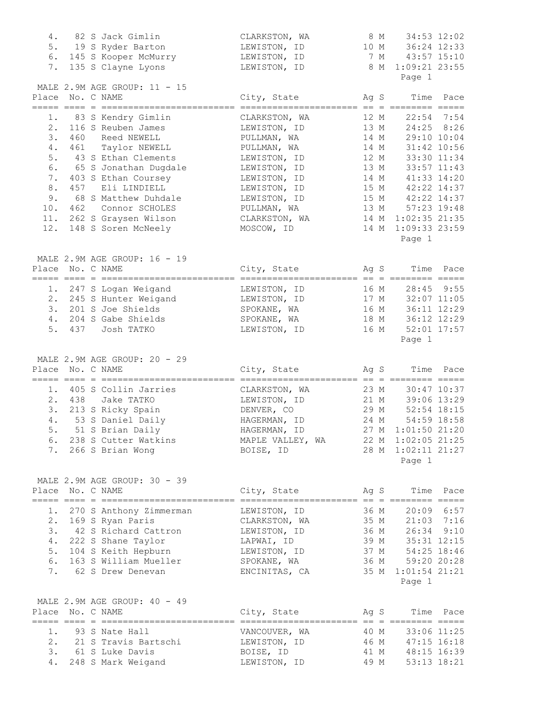| 4.    | 82 S Jack Gimlin                                            | CLARKSTON, WA                                                 |      | 8 M | 34:53 12:02                                                                    |              |
|-------|-------------------------------------------------------------|---------------------------------------------------------------|------|-----|--------------------------------------------------------------------------------|--------------|
|       | 5. 19 S Ryder Barton                                        | LEWISTON, ID                                                  |      |     | 10 M 36:24 12:33                                                               |              |
|       | 6. 145 S Kooper McMurry                                     | LEWISTON, ID                                                  |      |     | 7 M 43:57 15:10                                                                |              |
| 7.    | 135 S Clayne Lyons                                          | LEWISTON, ID                                                  |      | 8 M | $1:09:21$ 23:55                                                                |              |
|       |                                                             |                                                               |      |     | Page 1                                                                         |              |
|       | MALE 2.9M AGE GROUP: 11 - 15                                |                                                               |      |     |                                                                                |              |
| Place | No. C NAME                                                  | City, State                                                   | Ag S |     | Time                                                                           | Pace         |
|       |                                                             |                                                               |      |     |                                                                                |              |
|       | 1. 83 S Kendry Gimlin                                       | CLARKSTON, WA                                                 | 12 M |     |                                                                                | $22:54$ 7:54 |
|       | 2. 116 S Reuben James                                       | LEWISTON, ID                                                  | 13 M |     | 24:25 8:26                                                                     |              |
| 3.    | 460 Reed NEWELL                                             | PULLMAN, WA                                                   |      |     | 14 M 29:10 10:04                                                               |              |
| 4.    | 461 Taylor NEWELL                                           | PULLMAN, WA                                                   |      |     | 14 M 31:42 10:56                                                               |              |
| 5.    | 43 S Ethan Clements                                         | LEWISTON, ID                                                  |      |     | 12 M 33:30 11:34                                                               |              |
| 6.    | 65 S Jonathan Dugdale                                       | LEWISTON, ID                                                  |      |     | 13 M 33:57 11:43                                                               |              |
| 7.    | 403 S Ethan Coursey                                         | LEWISTON, ID                                                  |      |     | 14 M 41:33 14:20                                                               |              |
| 8.    | 457 Eli LINDIELL                                            | LEWISTON, ID                                                  |      |     |                                                                                |              |
| 9.    | 68 S Matthew Duhdale                                        | LEWISTON, ID                                                  |      |     |                                                                                |              |
| 10.   | 462 Connor SCHOLES                                          | PULLMAN, WA                                                   |      |     | 15 M 42:22 14:37<br>15 M 42:22 14:37<br>13 M 57:23 19:48<br>14 M 1:02:35 21:35 |              |
|       | 11. 262 S Graysen Wilson                                    | CLARKSTON, WA                                                 | 14 M |     | $1:02:35$ 21:35                                                                |              |
|       | 12. 148 S Soren McNeely                                     |                                                               | 14 M |     | $1:09:33$ 23:59                                                                |              |
|       |                                                             | MOSCOW, ID                                                    |      |     |                                                                                |              |
|       |                                                             |                                                               |      |     | Page 1                                                                         |              |
|       |                                                             |                                                               |      |     |                                                                                |              |
|       | MALE 2.9M AGE GROUP: 16 - 19                                |                                                               |      |     |                                                                                |              |
| Place | No. C NAME                                                  | City, State                                                   | Aq S |     | Time                                                                           | Pace         |
|       |                                                             |                                                               |      |     |                                                                                |              |
|       | 1. 247 S Logan Weigand                                      | LEWISTON, ID                                                  | 16 M |     | 28:45 9:55                                                                     |              |
|       | 2. 245 S Hunter Weigand                                     | LEWISTON, ID                                                  |      |     |                                                                                |              |
|       | 3. 201 S Joe Shields                                        | SPOKANE, WA                                                   |      |     | 17 M 32:07 11:05<br>16 M 36:11 12:29                                           |              |
|       | 4. 204 S Gabe Shields                                       | SPOKANE, WA                                                   |      |     | 18 M 36:12 12:29                                                               |              |
|       | 5. 437 Josh TATKO                                           | LEWISTON, ID 16 M 52:01 17:57                                 |      |     |                                                                                |              |
|       |                                                             |                                                               |      |     | Page 1                                                                         |              |
|       |                                                             |                                                               |      |     |                                                                                |              |
|       |                                                             |                                                               |      |     |                                                                                |              |
|       |                                                             |                                                               |      |     |                                                                                |              |
|       | MALE 2.9M AGE GROUP: 20 - 29                                |                                                               |      |     |                                                                                |              |
|       | Place No. C NAME                                            | City, State                                                   |      |     | Ag S                                                                           | Time Pace    |
|       |                                                             |                                                               |      |     |                                                                                |              |
|       | 1. 405 S Collin Jarries                                     | CLARKSTON, WA                                                 |      |     |                                                                                |              |
|       | 2. 438 Jake TATKO                                           | LEWISTON, ID                                                  |      |     | 23 M 30:47 10:37<br>21 M 30:06 10:37<br>21 M 39:06 13:29                       |              |
|       | 3. 213 S Ricky Spain                                        | DENVER, CO                                                    |      |     | 29 M 52:54 18:15                                                               |              |
|       | 4. 53 S Daniel Daily                                        | HAGERMAN, ID 24 M 54:59 18:58                                 |      |     |                                                                                |              |
|       | 5. 51 S Brian Daily                                         | HAGERMAN, ID 27 M 1:01:50 21:20                               |      |     |                                                                                |              |
|       | 6. 238 S Cutter Watkins MAPLE VALLEY, WA 22 M 1:02:05 21:25 |                                                               |      |     |                                                                                |              |
|       | 7. 266 S Brian Wong                                         | BOISE, ID                                                     |      |     | 28 M 1:02:11 21:27                                                             |              |
|       |                                                             |                                                               |      |     | Page 1                                                                         |              |
|       |                                                             |                                                               |      |     |                                                                                |              |
|       | MALE 2.9M AGE GROUP: 30 - 39                                |                                                               |      |     |                                                                                |              |
|       | Place No. C NAME                                            | City, State Mag S Time Pace                                   |      |     |                                                                                |              |
|       |                                                             |                                                               |      |     |                                                                                |              |
|       | 1. 270 S Anthony Zimmerman                                  | LEWISTON, ID 36 M 20:09 6:57                                  |      |     |                                                                                |              |
|       | 2. 169 S Ryan Paris                                         | CLARKSTON, WA 35 M 21:03 7:16                                 |      |     |                                                                                |              |
|       | 3. 42 S Richard Cattron                                     |                                                               |      |     |                                                                                |              |
|       |                                                             | LEWISTON, ID 36 M 26:34 9:10                                  |      |     |                                                                                |              |
|       | 4. 222 S Shane Taylor                                       | LAPWAI, ID 39 M 35:31 12:15                                   |      |     |                                                                                |              |
|       | 5. 104 S Keith Hepburn                                      | LEWISTON, ID                                                  |      |     |                                                                                |              |
|       | 6. 163 S William Mueller                                    | SPOKANE, WA                                                   |      |     |                                                                                |              |
|       | 7. 62 S Drew Denevan                                        | ENCINITAS, CA                                                 |      |     | 37 M 54:25 18:46<br>36 M 59:20 20:28<br>35 M 1:01:54 21:21                     |              |
|       |                                                             |                                                               |      |     | Page 1                                                                         |              |
|       |                                                             |                                                               |      |     |                                                                                |              |
|       | MALE 2.9M AGE GROUP: 40 - 49                                |                                                               |      |     |                                                                                |              |
|       | Place No. C NAME                                            | City, State Ag S                                              |      |     |                                                                                | Time Pace    |
|       |                                                             |                                                               |      |     |                                                                                |              |
|       | 1. 93 S Nate Hall                                           | VANCOUVER, WA 40 M 33:06 11:25                                |      |     |                                                                                |              |
|       | 2. 21 S Travis Bartschi                                     |                                                               |      |     |                                                                                |              |
|       | 3. 61 S Luke Davis<br>4. 248 S Mark Weigand                 | LEWISTON, ID<br>BOISE, ID<br>LEWISTON, ID<br>49 M 53:13 18:21 |      |     |                                                                                |              |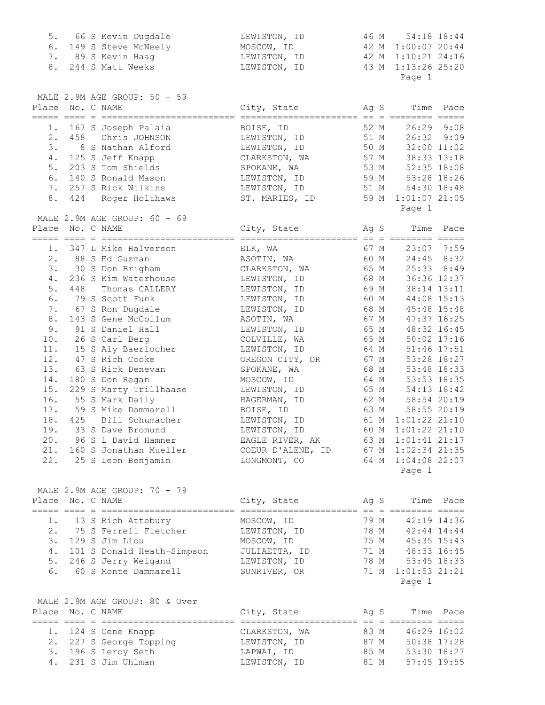| 5.               |  | 66 S Kevin Dugdale                                | LEWISTON, ID                         |              | 46 M                                                      | 54:18 18:44  |
|------------------|--|---------------------------------------------------|--------------------------------------|--------------|-----------------------------------------------------------|--------------|
| 6.               |  | 149 S Steve McNeely                               | MOSCOW, ID                           |              | 42 M 1:00:07 20:44                                        |              |
| 7.               |  | 89 S Kevin Haag                                   | LEWISTON, ID                         |              | 42 M 1:10:21 24:16                                        |              |
| 8.               |  | 244 S Matt Weeks                                  | LEWISTON, ID                         | 43 M         | 1:13:26 25:20                                             |              |
|                  |  |                                                   |                                      |              | Page 1                                                    |              |
|                  |  | MALE 2.9M AGE GROUP: 50 - 59                      |                                      |              |                                                           |              |
| Place No. C NAME |  |                                                   | City, State                          | Ag S         |                                                           | Time Pace    |
|                  |  |                                                   |                                      |              |                                                           |              |
|                  |  | 1. 167 S Joseph Palaia                            | BOISE, ID                            |              | 52 M                                                      | 26:29 9:08   |
| 2.               |  | 458 Chris JOHNSON                                 | LEWISTON, ID                         |              | 51 M 26:32 9:09                                           |              |
| 3.               |  | 8 S Nathan Alford                                 | LEWISTON, ID                         |              | 50 M 32:00 11:02                                          |              |
| 4.               |  | 125 S Jeff Knapp                                  | CLARKSTON, WA                        |              | 57 M 38:33 13:18                                          |              |
| 5.               |  | 203 S Tom Shields                                 | SPOKANE, WA                          |              | 53 M 52:35 18:08                                          |              |
|                  |  | 6. 140 S Ronald Mason                             | LEWISTON, ID                         |              | 59 M 53:28 18:26                                          |              |
|                  |  | 7. 257 S Rick Wilkins                             | LEWISTON, ID                         |              | 51 M 54:30 18:48                                          |              |
| 8.               |  | 424 Roger Holthaws                                | ST. MARIES, ID                       | 59 M         | $1:01:07$ 21:05                                           |              |
|                  |  |                                                   |                                      |              | Page 1                                                    |              |
| Place No. C NAME |  | MALE 2.9M AGE GROUP: 60 - 69                      | City, State                          |              | Ag S                                                      | Time Pace    |
|                  |  |                                                   |                                      |              |                                                           |              |
| 1.               |  | 347 L Mike Halverson                              | ELK, WA                              |              | 67 M                                                      | $23:07$ 7:59 |
| 2.               |  | 88 S Ed Guzman                                    | ASOTIN, WA                           | 60 M         | 24:45 8:32                                                |              |
| 3.               |  | 30 S Don Brigham                                  | CLARKSTON, WA                        | 65 M         | 25:33 8:49                                                |              |
| 4.               |  | 236 S Kim Waterhouse                              | LEWISTON, ID                         | 68 M         | 36:36 12:37                                               |              |
| 5.               |  | 448 Thomas CALLERY                                | LEWISTON, ID                         | 69 M         |                                                           | 38:14 13:11  |
| 6.               |  | 79 S Scott Funk                                   | LEWISTON, ID                         | 60 M         | 44:08 15:13                                               |              |
| 7.               |  | 67 S Ron Dugdale                                  | LEWISTON, ID                         |              | 68 M 45:48 15:48                                          |              |
| 8.               |  | 143 S Gene McCollum                               | ASOTIN, WA                           | 67 M         |                                                           | 47:37 16:25  |
| 9.               |  | 91 S Daniel Hall                                  | LEWISTON, ID                         | 65 M         | 48:32 16:45                                               |              |
| 10.              |  | 26 S Carl Berg                                    | COLVILLE, WA                         | 65 M         | $50:02$ 17:16                                             |              |
| 11.              |  | 15 S Aly Baerlocher                               | LEWISTON, ID                         | 64 M         | $51:46$ 17:51                                             |              |
| 12.              |  | 47 S Rich Cooke                                   | OREGON CITY, OR                      | 67 M         | 53:28 18:27                                               |              |
| 13.              |  |                                                   |                                      | 68 M         |                                                           | 53:48 18:33  |
| 14.              |  | 63 S Rick Denevan                                 | SPOKANE, WA                          | 64 M         |                                                           |              |
|                  |  | 180 S Don Regan                                   | MOSCOW, ID                           |              |                                                           | 53:53 18:35  |
| 15.              |  | 229 S Marty Trillhaase                            | LEWISTON, ID                         | 65 M<br>62 M | 54:13 18:42                                               |              |
| 16.              |  | 55 S Mark Daily                                   | HAGERMAN, ID                         |              |                                                           | 58:54 20:19  |
| 17.              |  | 59 S Mike Dammarell                               | BOISE, ID                            | 63 M         |                                                           | 58:55 20:19  |
| 18.              |  | 425 Bill Schumacher                               | LEWISTON, ID                         | 61 M         | $1:01:22$ 21:10                                           |              |
|                  |  | 19. 33 S Dave Bromund                             | LEWISTON, ID                         |              | 60 M 1:01:22 21:10                                        |              |
| 20.              |  | 96 S L David Hamner                               | EAGLE RIVER, AK 63 M 1:01:41 21:17   |              |                                                           |              |
|                  |  | 21. 160 S Jonathan Mueller                        | COEUR D'ALENE, ID 67 M 1:02:34 21:35 |              |                                                           |              |
|                  |  | 22. 25 S Leon Benjamin                            | LONGMONT, CO                         |              | 64 M 1:04:08 22:07                                        |              |
|                  |  |                                                   |                                      |              | Page 1                                                    |              |
|                  |  | MALE 2.9M AGE GROUP: 70 - 79                      |                                      |              |                                                           |              |
| Place No. C NAME |  |                                                   | City, State Ag S                     |              |                                                           | Time Pace    |
|                  |  |                                                   |                                      |              |                                                           |              |
|                  |  | 1. 13 S Rich Attebury                             | MOSCOW, ID                           |              | 79 M 42:19 14:36                                          |              |
|                  |  | 2. 75 S Ferrell Fletcher                          | LEWISTON, ID                         |              | 78 M 42:44 14:44                                          |              |
|                  |  | 3. 129 S Jim Liou                                 | MOSCOW, ID                           |              | 75 M 45:35 15:43                                          |              |
|                  |  | 4. 101 S Donald Heath-Simpson                     | JULIAETTA, ID                        |              | 71 M 48:33 16:45                                          |              |
|                  |  |                                                   | LEWISTON, ID                         |              |                                                           |              |
|                  |  | 5. 246 S Jerry Weigand<br>6. 60 S Monte Dammarell | SUNRIVER, OR                         | 71 M         | 78 M 53:45 18:33<br>71 M 1:01:53 21:21<br>$1:01:53$ 21:21 |              |
|                  |  |                                                   |                                      |              | Page 1                                                    |              |
|                  |  |                                                   |                                      |              |                                                           |              |
|                  |  | MALE 2.9M AGE GROUP: 80 & Over                    |                                      |              |                                                           |              |
| Place No. C NAME |  |                                                   | City, State Ag S                     |              |                                                           | Time Pace    |
|                  |  | 1. 124 S Gene Knapp                               | CLARKSTON, WA                        |              |                                                           |              |
|                  |  | 2. 227 S George Topping                           | LEWISTON, ID                         |              | 83 M 46:29 16:02                                          |              |
|                  |  | 3. 196 S Leroy Seth                               | LAPWAI, ID                           |              | 87 M 50:38 17:28                                          |              |
|                  |  | 4. 231 S Jim Uhlman                               | LEWISTON, ID                         | 81 M         | 85 M 53:30 18:27                                          | 57:45 19:55  |
|                  |  |                                                   |                                      |              |                                                           |              |